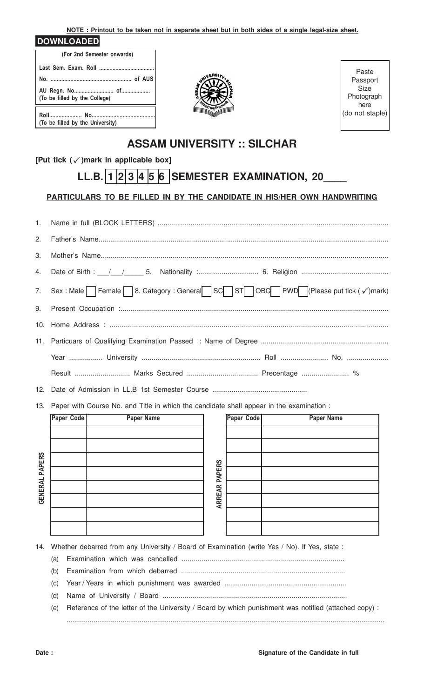**NOTE : Printout to be taken not in separate sheet but in both sides of a single legal-size sheet.**

#### **DOWNLOADED**

| (For 2nd Semester onwards)       |  |  |  |  |  |  |
|----------------------------------|--|--|--|--|--|--|
|                                  |  |  |  |  |  |  |
|                                  |  |  |  |  |  |  |
| (To be filled by the College)    |  |  |  |  |  |  |
| (To be filled by the University) |  |  |  |  |  |  |



Paste Passport Size Photograph here (do not staple)

## **ASSAM UNIVERSITY :: SILCHAR**

### **[Put tick ( )mark in applicable box]** P

# **LL.B.** 1 2 3 4 5 6 SEMESTER EXAMINATION, 20

### **PARTICULARS TO BE FILLED IN BY THE CANDIDATE IN HIS/HER OWN HANDWRITING**

| 1.  |                                                                                          |            |  |                   |  |  |  |
|-----|------------------------------------------------------------------------------------------|------------|--|-------------------|--|--|--|
| 2.  |                                                                                          |            |  |                   |  |  |  |
| 3.  |                                                                                          |            |  |                   |  |  |  |
| 4.  |                                                                                          |            |  |                   |  |  |  |
|     | 7. Sex : Male Female 8. Category : General SC ST OBC PWD (Please put tick (√)mark)       |            |  |                   |  |  |  |
| 9.  |                                                                                          |            |  |                   |  |  |  |
|     |                                                                                          |            |  |                   |  |  |  |
|     |                                                                                          |            |  |                   |  |  |  |
|     |                                                                                          |            |  |                   |  |  |  |
|     | Result  Marks Secured  Precentage  %                                                     |            |  |                   |  |  |  |
|     |                                                                                          |            |  |                   |  |  |  |
| 13. | Paper with Course No. and Title in which the candidate shall appear in the examination : |            |  |                   |  |  |  |
|     | Paper Code<br><b>Paper Name</b>                                                          | Paper Code |  | <b>Paper Name</b> |  |  |  |
|     |                                                                                          |            |  |                   |  |  |  |
|     |                                                                                          |            |  |                   |  |  |  |

| <b>GENERAL PAPERS</b> |  | <b>PAPERS</b> |  |
|-----------------------|--|---------------|--|
|                       |  |               |  |
|                       |  | <b>ARREAR</b> |  |
|                       |  |               |  |
|                       |  |               |  |
|                       |  |               |  |

14. Whether debarred from any University / Board of Examination (write Yes / No). If Yes, state :

- (a) Examination which was cancelled ..................................................................................
- (b) Examination from which debarred ...................................................................................
- (c) Year / Years in which punishment was awarded ...............................................................
- (d) Name of University / Board .............................................................................................
- (e) Reference of the letter of the University / Board by which punishment was notified (attached copy) : .........................................................................................................................................................